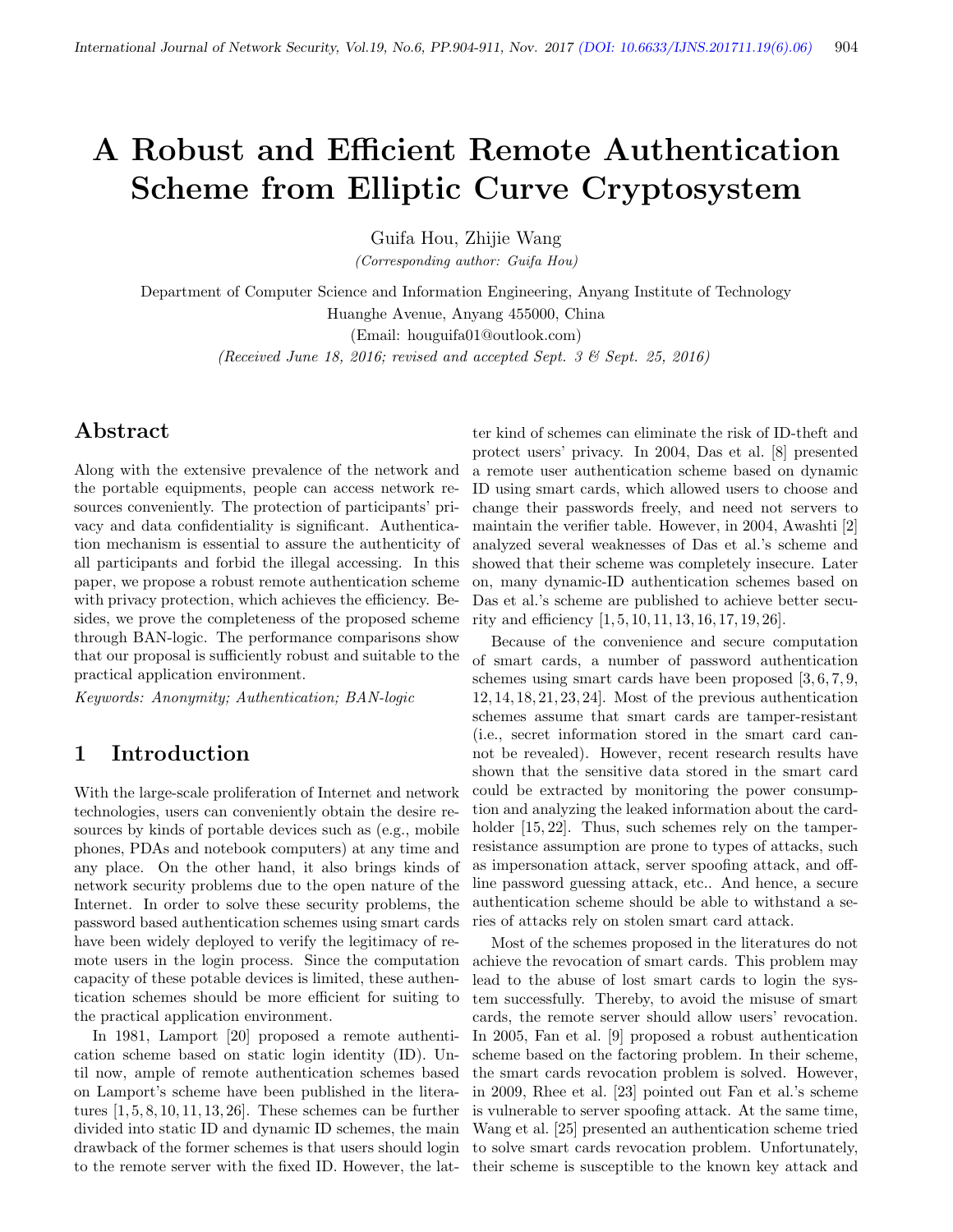# A Robust and Efficient Remote Authentication Scheme from Elliptic Curve Cryptosystem

Guifa Hou, Zhijie Wang

(Corresponding author: Guifa Hou)

Department of Computer Science and Information Engineering, Anyang Institute of Technology Huanghe Avenue, Anyang 455000, China

(Email: houguifa01@outlook.com)

(Received June 18, 2016; revised and accepted Sept. 3 & Sept. 25, 2016)

# Abstract

Along with the extensive prevalence of the network and the portable equipments, people can access network resources conveniently. The protection of participants' privacy and data confidentiality is significant. Authentication mechanism is essential to assure the authenticity of all participants and forbid the illegal accessing. In this paper, we propose a robust remote authentication scheme with privacy protection, which achieves the efficiency. Besides, we prove the completeness of the proposed scheme through BAN-logic. The performance comparisons show that our proposal is sufficiently robust and suitable to the practical application environment.

Keywords: Anonymity; Authentication; BAN-logic

# 1 Introduction

With the large-scale proliferation of Internet and network technologies, users can conveniently obtain the desire resources by kinds of portable devices such as (e.g., mobile phones, PDAs and notebook computers) at any time and any place. On the other hand, it also brings kinds of network security problems due to the open nature of the Internet. In order to solve these security problems, the password based authentication schemes using smart cards have been widely deployed to verify the legitimacy of remote users in the login process. Since the computation capacity of these potable devices is limited, these authentication schemes should be more efficient for suiting to the practical application environment.

In 1981, Lamport [20] proposed a remote authentication scheme based on static login identity (ID). Until now, ample of remote authentication schemes based on Lamport's scheme have been published in the literatures  $[1, 5, 8, 10, 11, 13, 26]$ . These schemes can be further divided into static ID and dynamic ID schemes, the main drawback of the former schemes is that users should login to the remote server with the fixed ID. However, the lat-

ter kind of schemes can eliminate the risk of ID-theft and protect users' privacy. In 2004, Das et al. [8] presented a remote user authentication scheme based on dynamic ID using smart cards, which allowed users to choose and change their passwords freely, and need not servers to maintain the verifier table. However, in 2004, Awashti [2] analyzed several weaknesses of Das et al.'s scheme and showed that their scheme was completely insecure. Later on, many dynamic-ID authentication schemes based on Das et al.'s scheme are published to achieve better security and efficiency [1, 5, 10, 11, 13, 16, 17, 19, 26].

Because of the convenience and secure computation of smart cards, a number of password authentication schemes using smart cards have been proposed [3, 6, 7, 9, 12, 14, 18, 21, 23, 24]. Most of the previous authentication schemes assume that smart cards are tamper-resistant (i.e., secret information stored in the smart card cannot be revealed). However, recent research results have shown that the sensitive data stored in the smart card could be extracted by monitoring the power consumption and analyzing the leaked information about the cardholder  $[15, 22]$ . Thus, such schemes rely on the tamperresistance assumption are prone to types of attacks, such as impersonation attack, server spoofing attack, and offline password guessing attack, etc.. And hence, a secure authentication scheme should be able to withstand a series of attacks rely on stolen smart card attack.

Most of the schemes proposed in the literatures do not achieve the revocation of smart cards. This problem may lead to the abuse of lost smart cards to login the system successfully. Thereby, to avoid the misuse of smart cards, the remote server should allow users' revocation. In 2005, Fan et al. [9] proposed a robust authentication scheme based on the factoring problem. In their scheme, the smart cards revocation problem is solved. However, in 2009, Rhee et al. [23] pointed out Fan et al.'s scheme is vulnerable to server spoofing attack. At the same time, Wang et al. [25] presented an authentication scheme tried to solve smart cards revocation problem. Unfortunately, their scheme is susceptible to the known key attack and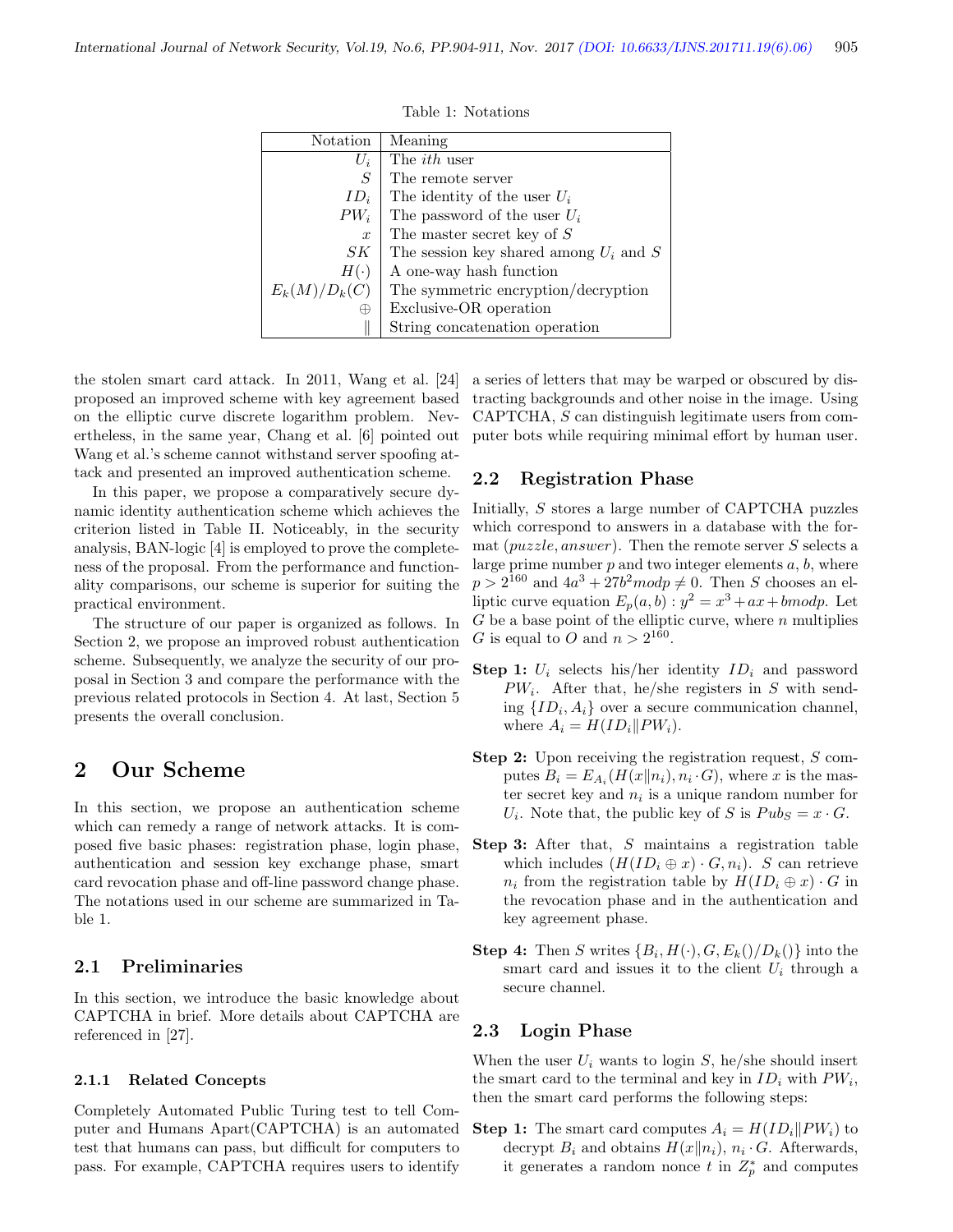| Notation         | Meaning                                    |
|------------------|--------------------------------------------|
| $U_i$            | The <i>ith</i> user                        |
| S                | The remote server                          |
| $ID_i$           | The identity of the user $U_i$             |
| $PW_i$           | The password of the user $U_i$             |
| $\boldsymbol{x}$ | The master secret key of $S$               |
| SК               | The session key shared among $U_i$ and $S$ |
| $H(\cdot)$       | A one-way hash function                    |
| $E_k(M)/D_k(C)$  | The symmetric encryption/decryption        |
| ₩                | Exclusive-OR operation                     |
|                  | String concatenation operation             |

Table 1: Notations

the stolen smart card attack. In 2011, Wang et al. [24] proposed an improved scheme with key agreement based on the elliptic curve discrete logarithm problem. Nevertheless, in the same year, Chang et al. [6] pointed out Wang et al.'s scheme cannot withstand server spoofing attack and presented an improved authentication scheme.

In this paper, we propose a comparatively secure dynamic identity authentication scheme which achieves the criterion listed in Table II. Noticeably, in the security analysis, BAN-logic [4] is employed to prove the completeness of the proposal. From the performance and functionality comparisons, our scheme is superior for suiting the practical environment.

The structure of our paper is organized as follows. In Section 2, we propose an improved robust authentication scheme. Subsequently, we analyze the security of our proposal in Section 3 and compare the performance with the previous related protocols in Section 4. At last, Section 5 presents the overall conclusion.

## 2 Our Scheme

In this section, we propose an authentication scheme which can remedy a range of network attacks. It is composed five basic phases: registration phase, login phase, authentication and session key exchange phase, smart card revocation phase and off-line password change phase. The notations used in our scheme are summarized in Table 1.

## 2.1 Preliminaries

In this section, we introduce the basic knowledge about CAPTCHA in brief. More details about CAPTCHA are referenced in [27].

#### 2.1.1 Related Concepts

Completely Automated Public Turing test to tell Computer and Humans Apart(CAPTCHA) is an automated test that humans can pass, but difficult for computers to pass. For example, CAPTCHA requires users to identify

a series of letters that may be warped or obscured by distracting backgrounds and other noise in the image. Using CAPTCHA, S can distinguish legitimate users from computer bots while requiring minimal effort by human user.

## 2.2 Registration Phase

Initially, S stores a large number of CAPTCHA puzzles which correspond to answers in a database with the format ( $puzzle, answer$ ). Then the remote server S selects a large prime number  $p$  and two integer elements  $a, b$ , where  $p > 2^{160}$  and  $4a^3 + 27b^2 \mod p \neq 0$ . Then S chooses an elliptic curve equation  $E_p(a, b)$ :  $y^2 = x^3 + ax + b \mod p$ . Let  $G$  be a base point of the elliptic curve, where  $n$  multiplies G is equal to O and  $n > 2^{160}$ .

- **Step 1:**  $U_i$  selects his/her identity  $ID_i$  and password  $PW_i$ . After that, he/she registers in S with sending  $\{ID_i, A_i\}$  over a secure communication channel, where  $A_i = H(ID_i || PW_i)$ .
- Step 2: Upon receiving the registration request, S computes  $B_i = E_{A_i}(H(x||n_i), n_i \cdot G)$ , where x is the master secret key and  $n_i$  is a unique random number for  $U_i$ . Note that, the public key of S is  $Pubs = x \cdot G$ .
- Step 3: After that, S maintains a registration table which includes  $(H(ID_i \oplus x) \cdot G, n_i)$ . S can retrieve  $n_i$  from the registration table by  $H(ID_i \oplus x) \cdot G$  in the revocation phase and in the authentication and key agreement phase.
- **Step 4:** Then S writes  $\{B_i, H(\cdot), G, E_k(\cdot) / D_k(\cdot)\}$  into the smart card and issues it to the client  $U_i$  through a secure channel.

#### 2.3 Login Phase

When the user  $U_i$  wants to login  $S$ , he/she should insert the smart card to the terminal and key in  $ID_i$  with  $PW_i$ , then the smart card performs the following steps:

**Step 1:** The smart card computes  $A_i = H(ID_i||PW_i)$  to decrypt  $B_i$  and obtains  $H(x||n_i)$ ,  $n_i \cdot G$ . Afterwards, it generates a random nonce t in  $Z_p^*$  and computes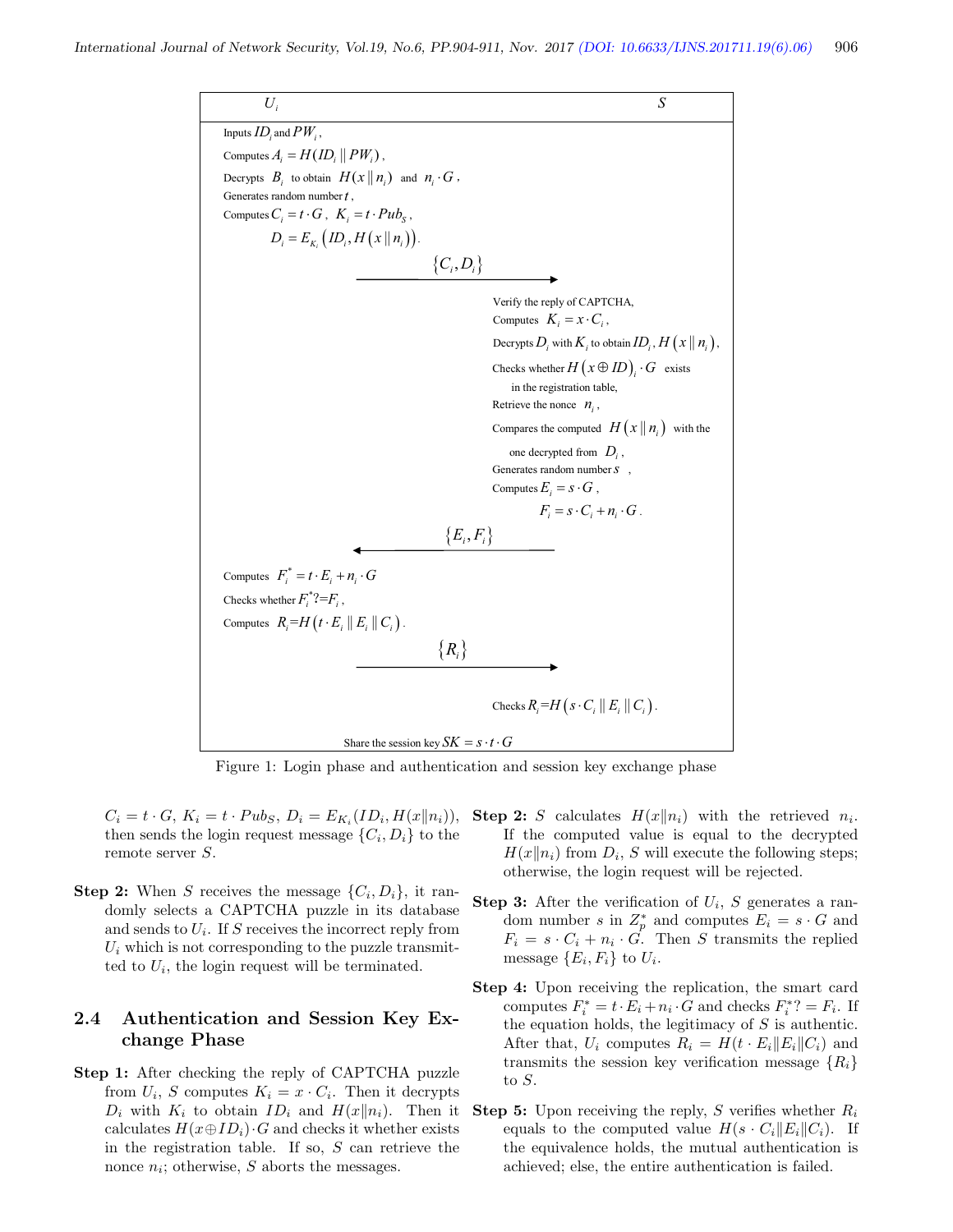

Figure 1: Login phase and authentication and session key exchange phase

 $C_i = t \cdot G, K_i = t \cdot P u b_S, D_i = E_{K_i}(ID_i, H(x||n_i)),$ then sends the login request message  $\{C_i, D_i\}$  to the remote server S.

**Step 2:** When S receives the message  $\{C_i, D_i\}$ , it randomly selects a CAPTCHA puzzle in its database and sends to  $U_i$ . If S receives the incorrect reply from  $U_i$  which is not corresponding to the puzzle transmitted to  $U_i$ , the login request will be terminated.

## 2.4 Authentication and Session Key Exchange Phase

Step 1: After checking the reply of CAPTCHA puzzle from  $U_i$ , S computes  $K_i = x \cdot C_i$ . Then it decrypts  $D_i$  with  $K_i$  to obtain  $ID_i$  and  $H(x||n_i)$ . Then it calculates  $H(x \oplus ID_i) \cdot G$  and checks it whether exists in the registration table. If so,  $S$  can retrieve the nonce  $n_i$ ; otherwise, S aborts the messages.

- **Step 2:** S calculates  $H(x||n_i)$  with the retrieved  $n_i$ . If the computed value is equal to the decrypted  $H(x||n_i)$  from  $D_i$ , S will execute the following steps; otherwise, the login request will be rejected.
- **Step 3:** After the verification of  $U_i$ , S generates a random number s in  $Z_p^*$  and computes  $E_i = s \cdot G$  and  $F_i = s \cdot C_i + n_i \cdot G$ . Then S transmits the replied message  $\{E_i, F_i\}$  to  $U_i$ .
- Step 4: Upon receiving the replication, the smart card computes  $F_i^* = t \cdot E_i + n_i \cdot G$  and checks  $F_i^*$ ? =  $F_i$ . If the equation holds, the legitimacy of  $S$  is authentic. After that,  $U_i$  computes  $R_i = H(t \cdot E_i || E_i || C_i)$  and transmits the session key verification message  $\{R_i\}$ to S.
- **Step 5:** Upon receiving the reply, S verifies whether  $R_i$ equals to the computed value  $H(s \cdot C_i||E_i||C_i)$ . If the equivalence holds, the mutual authentication is achieved; else, the entire authentication is failed.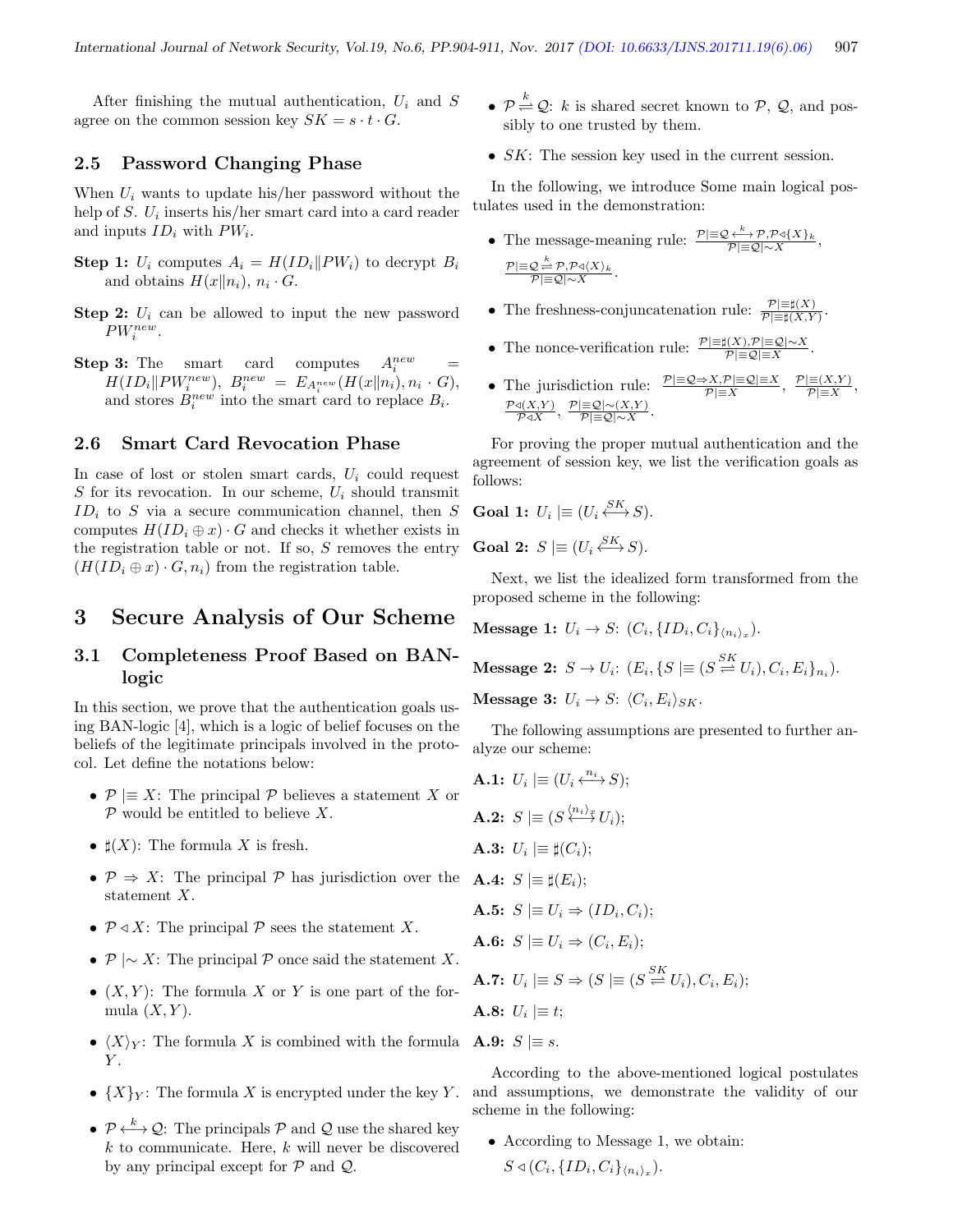After finishing the mutual authentication,  $U_i$  and S agree on the common session key  $SK = s \cdot t \cdot G$ .

## 2.5 Password Changing Phase

When  $U_i$  wants to update his/her password without the help of  $S$ .  $U_i$  inserts his/her smart card into a card reader and inputs  $ID_i$  with  $PW_i$ .

- **Step 1:**  $U_i$  computes  $A_i = H(ID_i || PW_i)$  to decrypt  $B_i$ and obtains  $H(x||n_i)$ ,  $n_i \cdot G$ .
- **Step 2:**  $U_i$  can be allowed to input the new password  $PW_i^{new}$ .
- **Step 3:** The smart card computes  $A_i^{new}$  $\sum_{i=1}^{new}$  $H(ID_i \| PW_i^{new}), B_i^{new} = E_{A_i^{new}}(H(x \| n_i), n_i \cdot G),$ and stores  $B_i^{new}$  into the smart card to replace  $B_i$ .

## 2.6 Smart Card Revocation Phase

In case of lost or stolen smart cards,  $U_i$  could request S for its revocation. In our scheme,  $U_i$  should transmit  $ID_i$  to S via a secure communication channel, then S computes  $H(ID_i \oplus x) \cdot G$  and checks it whether exists in the registration table or not. If so,  $S$  removes the entry  $(H(ID_i \oplus x) \cdot G, n_i)$  from the registration table.

## 3 Secure Analysis of Our Scheme

## 3.1 Completeness Proof Based on BANlogic

In this section, we prove that the authentication goals using BAN-logic [4], which is a logic of belief focuses on the beliefs of the legitimate principals involved in the protocol. Let define the notations below:

- $P \equiv X$ : The principal P believes a statement X or  $P$  would be entitled to believe  $X$ .
- $\sharp(X)$ : The formula X is fresh.
- $\mathcal{P} \Rightarrow X$ : The principal  $\mathcal{P}$  has jurisdiction over the statement X.
- $P \triangleleft X$ : The principal P sees the statement X.
- $P \sim X$ : The principal P once said the statement X.
- $(X, Y)$ : The formula X or Y is one part of the formula  $(X, Y)$ .
- $\langle X \rangle_Y$ : The formula X is combined with the formula **A.9:**  $S \equiv s$ .  $\overline{Y}$
- $\{X\}_Y$ : The formula X is encrypted under the key Y.
- $\mathcal{P} \stackrel{k}{\longleftrightarrow} \mathcal{Q}$ : The principals  $\mathcal{P}$  and  $\mathcal{Q}$  use the shared key  $k$  to communicate. Here,  $k$  will never be discovered by any principal except for  $P$  and  $Q$ .
- $\mathcal{P} \stackrel{k}{\rightleftharpoons} \mathcal{Q}$ : k is shared secret known to  $\mathcal{P}, \mathcal{Q}$ , and possibly to one trusted by them.
- *SK*: The session key used in the current session.

In the following, we introduce Some main logical postulates used in the demonstration:

- The message-meaning rule:  $\frac{\mathcal{P}|\equiv\mathcal{Q}}{\mathcal{P}|\equiv\mathcal{Q}|\sim X}\mathcal{P}^{\mathcal{Q}}\{X\}_k$ ,  $\frac{\mathcal{P}}{\mathcal{P}}\equiv\mathcal{Q} \stackrel{k}{\rightleftharpoons} \frac{\mathcal{P},\mathcal{P}\triangleleft \langle X \rangle_k}{\mathcal{P}}.$
- The freshness-conjuncatenation rule:  $\frac{\mathcal{P}|\equiv \sharp(X)}{\mathcal{P}|\equiv \sharp(X,Y)}$ .
- The nonce-verification rule:  $\frac{\mathcal{P}|\equiv \sharp(X), \mathcal{P}|\equiv \mathcal{Q}|\sim X}{\mathcal{P}|\equiv \mathcal{Q}|\equiv X}$
- The jurisdiction rule:  $\frac{\mathcal{P}|\equiv\mathcal{Q}\Rightarrow X,\mathcal{P}|\equiv\mathcal{Q}|=X}{\mathcal{P}|\equiv X},\ \frac{\mathcal{P}|\equiv(X,Y)}{\mathcal{P}|\equiv X}$  $\frac{\equiv (X,Y)}{\mathcal{P}|\equiv X},$  $\frac{\mathcal{P} \triangleleft (X, Y)}{\mathcal{P} \triangleleft X}, \frac{\mathcal{P}|\equiv\mathcal{Q}|\sim(X, Y)}{\mathcal{P}|\equiv\mathcal{Q}|\sim X}$  $\frac{|\mathbf{=}\mathcal{Q}|\sim(\mathbf{\Lambda},\mathbf{Y})}{\mathcal{P}|\mathbf{\equiv Q}|\mathbf{\sim}X}$ .

.

For proving the proper mutual authentication and the agreement of session key, we list the verification goals as follows:

**Goal 1:** 
$$
U_i \mid \equiv (U_i \stackrel{SK}{\longleftrightarrow} S).
$$

**Goal 2:**  $S \models (U_i \stackrel{SK}{\longleftrightarrow} S)$ .

Next, we list the idealized form transformed from the proposed scheme in the following:

Message 1:  $U_i \rightarrow S: (C_i, {ID_i, C_i}_{\langle n_i \rangle_x}).$ 

**Message 2:** 
$$
S \to U_i
$$
:  $(E_i, \{S \mid \equiv (S \stackrel{SK}{\rightleftharpoons} U_i), C_i, E_i\}_{n_i})$ .

Message 3:  $U_i \rightarrow S: \langle C_i, E_i \rangle_{SK}$ .

The following assumptions are presented to further analyze our scheme:

**A.1:**  $U_i \models (U_i \stackrel{n_i}{\longleftrightarrow} S);$ **A.2:**  $S \not\equiv (S \stackrel{\langle n_i \rangle_x}{\longleftrightarrow} U_i);$ **A.3:**  $U_i \mid \equiv \sharp(C_i);$ A.4:  $S \equiv \sharp(E_i);$ **A.5:**  $S \equiv U_i \Rightarrow (ID_i, C_i);$ **A.6:**  $S \equiv U_i \Rightarrow (C_i, E_i);$ **A.7:**  $U_i \mid \equiv S \Rightarrow (S \mid \equiv (S \stackrel{SK}{\rightleftharpoons} U_i), C_i, E_i);$ **A.8:**  $U_i \not\equiv t;$ 

According to the above-mentioned logical postulates and assumptions, we demonstrate the validity of our scheme in the following:

• According to Message 1, we obtain:  $\alpha$   $\alpha$  $\sim$  1

$$
S \triangleleft (C_i, \{ID_i, C_i\}_{\langle n_i \rangle_x}).
$$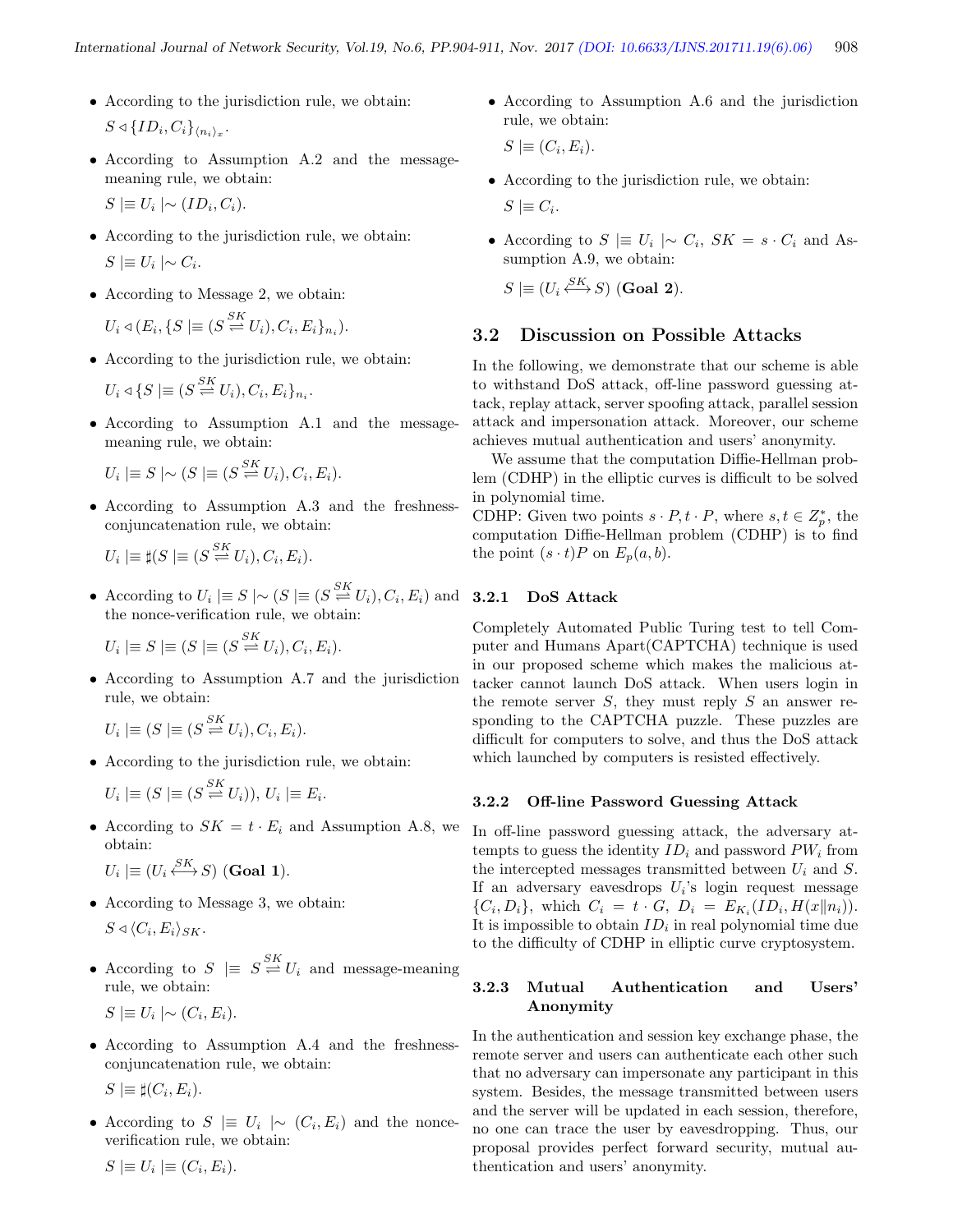- According to the jurisdiction rule, we obtain:  $S \triangleleft \{ ID_i, C_i \}_{\langle n_i \rangle_x}.$
- According to Assumption A.2 and the messagemeaning rule, we obtain:

 $S \equiv U_i \mid \sim (ID_i, C_i).$ 

- According to the jurisdiction rule, we obtain:  $S \geq U_i \mid \sim C_i$ .
- According to Message 2, we obtain:  $U_i \triangleleft (E_i, \{S \mid \equiv (S \stackrel{SK}{\rightleftharpoons} U_i), C_i, E_i\}_{n_i}).$
- According to the jurisdiction rule, we obtain:

$$
U_i \triangleleft \{ S \mid \equiv (S \stackrel{SK}{\rightleftharpoons} U_i), C_i, E_i \}_{n_i}.
$$

• According to Assumption A.1 and the messagemeaning rule, we obtain:

 $U_i \equiv S \mid \sim (S \equiv (S \stackrel{SK}{\rightleftharpoons} U_i), C_i, E_i).$ 

• According to Assumption A.3 and the freshnessconjuncatenation rule, we obtain:

$$
U_i \mid \equiv \sharp (S \mid \equiv (S \stackrel{SK}{\rightleftharpoons} U_i), C_i, E_i).
$$

• According to  $U_i \equiv S \mid \sim (S \equiv (S \stackrel{SK}{\rightleftharpoons} U_i), C_i, E_i)$  and the nonce-verification rule, we obtain:

 $U_i \mid \equiv S \mid \equiv (S \stackrel{SK}{\rightleftharpoons} U_i), C_i, E_i).$ 

• According to Assumption A.7 and the jurisdiction rule, we obtain:

 $U_i \geq (S \geq S K U_i), C_i, E_i).$ 

• According to the jurisdiction rule, we obtain:

$$
U_i \mid \equiv (S \mid \equiv (S \stackrel{SK}{\rightleftharpoons} U_i)), U_i \mid \equiv E_i.
$$

• According to  $SK = t \cdot E_i$  and Assumption A.8, we obtain:  $C\bar{V}$ 

$$
U_i \mid \equiv (U_i \stackrel{Sh}{\longleftrightarrow} S) \text{ (Goal 1)}.
$$

- According to Message 3, we obtain:  $S \triangleleft \langle C_i, E_i \rangle_{SK}.$
- According to  $S \equiv S \stackrel{SK}{\rightleftharpoons} U_i$  and message-meaning rule, we obtain:

$$
S \mid \equiv U_i \mid \sim (C_i, E_i).
$$

• According to Assumption A.4 and the freshnessconjuncatenation rule, we obtain:

 $S \models \sharp (C_i, E_i).$ 

• According to  $S \equiv U_i \mid \sim (C_i, E_i)$  and the nonceverification rule, we obtain:

• According to Assumption A.6 and the jurisdiction rule, we obtain:

 $S \mid \equiv (C_i, E_i).$ 

- According to the jurisdiction rule, we obtain:  $S \geq C_i$ .
- According to  $S \equiv U_i \mid \sim C_i$ ,  $SK = s \cdot C_i$  and Assumption A.9, we obtain:

$$
S \mid \equiv (U_i \stackrel{SK}{\longleftrightarrow} S) \text{ (Goal 2)}.
$$

## 3.2 Discussion on Possible Attacks

In the following, we demonstrate that our scheme is able to withstand DoS attack, off-line password guessing attack, replay attack, server spoofing attack, parallel session attack and impersonation attack. Moreover, our scheme achieves mutual authentication and users' anonymity.

We assume that the computation Diffie-Hellman problem (CDHP) in the elliptic curves is difficult to be solved in polynomial time.

CDHP: Given two points  $s \cdot P, t \cdot P$ , where  $s, t \in Z_p^*$ , the computation Diffie-Hellman problem (CDHP) is to find the point  $(s \cdot t)P$  on  $E_p(a, b)$ .

## 3.2.1 DoS Attack

Completely Automated Public Turing test to tell Computer and Humans Apart(CAPTCHA) technique is used in our proposed scheme which makes the malicious attacker cannot launch DoS attack. When users login in the remote server  $S$ , they must reply  $S$  an answer responding to the CAPTCHA puzzle. These puzzles are difficult for computers to solve, and thus the DoS attack which launched by computers is resisted effectively.

#### 3.2.2 Off-line Password Guessing Attack

In off-line password guessing attack, the adversary attempts to guess the identity  $ID_i$  and password  $PW_i$  from the intercepted messages transmitted between  $U_i$  and  $S$ . If an adversary eavesdrops  $U_i$ 's login request message  $\{C_i, D_i\}$ , which  $C_i = t \cdot G$ ,  $D_i = E_{K_i}(ID_i, H(x||n_i)).$ It is impossible to obtain  $ID_i$  in real polynomial time due to the difficulty of CDHP in elliptic curve cryptosystem.

## 3.2.3 Mutual Authentication and Users' Anonymity

In the authentication and session key exchange phase, the remote server and users can authenticate each other such that no adversary can impersonate any participant in this system. Besides, the message transmitted between users and the server will be updated in each session, therefore, no one can trace the user by eavesdropping. Thus, our proposal provides perfect forward security, mutual authentication and users' anonymity.

 $S \equiv U_i \equiv (C_i, E_i).$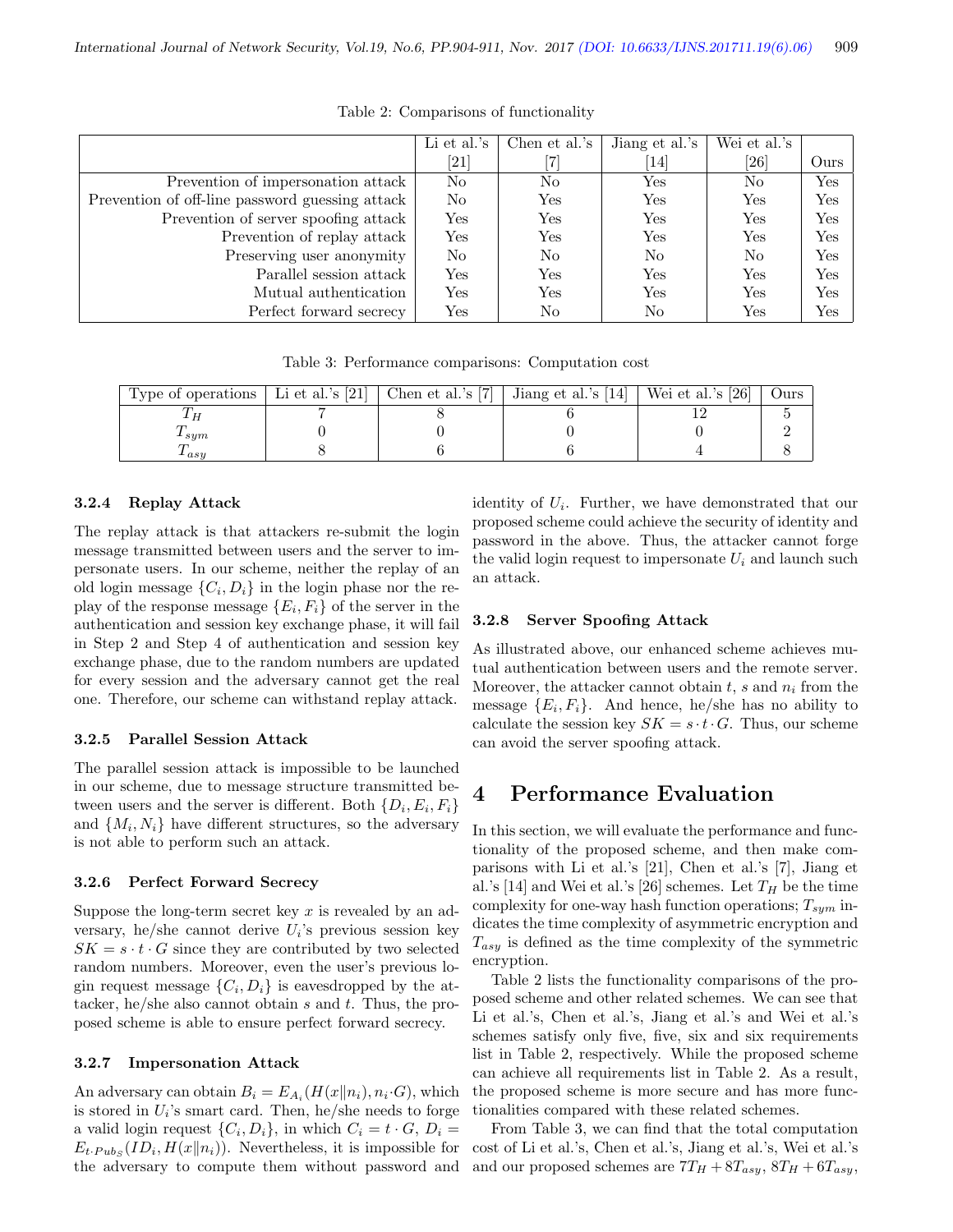|                                                 | Li et al.'s          | Chen et al.'s | Jiang et al.'s | Wei et al.'s       |                      |
|-------------------------------------------------|----------------------|---------------|----------------|--------------------|----------------------|
|                                                 | [21]                 |               | 14             | $\left[ 26\right]$ | Ours                 |
| Prevention of impersonation attack              | No                   | No            | Yes            | No                 | Yes                  |
| Prevention of off-line password guessing attack | N <sub>o</sub>       | Yes           | Yes            | Yes                | $\operatorname{Yes}$ |
| Prevention of server spoofing attack            | Yes                  | Yes           | Yes            | Yes                | Yes                  |
| Prevention of replay attack                     | Yes                  | Yes           | Yes            | Yes                | $\operatorname{Yes}$ |
| Preserving user anonymity                       | No                   | No            | No             | No                 | $\operatorname{Yes}$ |
| Parallel session attack                         | Yes                  | Yes           | Yes            | Yes                | Yes                  |
| Mutual authentication                           | $\operatorname{Yes}$ | Yes           | Yes            | Yes                | Yes                  |
| Perfect forward secrecy                         | Yes                  | No            | No             | Yes                | Yes                  |

Table 2: Comparisons of functionality

Table 3: Performance comparisons: Computation cost

| Type of operations $\vert$ Li et al.'s [21] | Chen et al.'s [7] | Jiang et al.'s [14] | Wei et al.'s $[26]$ | Ours |
|---------------------------------------------|-------------------|---------------------|---------------------|------|
|                                             |                   |                     |                     |      |
| $1 \, \text{sum}$                           |                   |                     |                     |      |
| $_{\boldsymbol{\iota} asy}$                 |                   |                     |                     |      |

#### 3.2.4 Replay Attack

The replay attack is that attackers re-submit the login message transmitted between users and the server to impersonate users. In our scheme, neither the replay of an old login message  $\{C_i, D_i\}$  in the login phase nor the replay of the response message  $\{E_i, F_i\}$  of the server in the authentication and session key exchange phase, it will fail in Step 2 and Step 4 of authentication and session key exchange phase, due to the random numbers are updated for every session and the adversary cannot get the real one. Therefore, our scheme can withstand replay attack.

#### 3.2.5 Parallel Session Attack

The parallel session attack is impossible to be launched in our scheme, due to message structure transmitted between users and the server is different. Both  $\{D_i, E_i, F_i\}$ and  $\{M_i, N_i\}$  have different structures, so the adversary is not able to perform such an attack.

#### 3.2.6 Perfect Forward Secrecy

Suppose the long-term secret key x is revealed by an adversary, he/she cannot derive  $U_i$ 's previous session key  $SK = s \cdot t \cdot G$  since they are contributed by two selected random numbers. Moreover, even the user's previous login request message  $\{C_i, D_i\}$  is eavesdropped by the attacker, he/she also cannot obtain  $s$  and  $t$ . Thus, the proposed scheme is able to ensure perfect forward secrecy.

#### 3.2.7 Impersonation Attack

An adversary can obtain  $B_i = E_{A_i}(H(x||n_i), n_i \cdot G)$ , which is stored in  $U_i$ 's smart card. Then, he/she needs to forge a valid login request  $\{C_i, D_i\}$ , in which  $C_i = t \cdot G$ ,  $D_i =$  $E_t$ - $P_{ubs}(ID_i, H(x||n_i))$ . Nevertheless, it is impossible for the adversary to compute them without password and

identity of  $U_i$ . Further, we have demonstrated that our proposed scheme could achieve the security of identity and password in the above. Thus, the attacker cannot forge the valid login request to impersonate  $U_i$  and launch such an attack.

#### 3.2.8 Server Spoofing Attack

As illustrated above, our enhanced scheme achieves mutual authentication between users and the remote server. Moreover, the attacker cannot obtain  $t$ ,  $s$  and  $n_i$  from the message  ${E_i, F_i}$ . And hence, he/she has no ability to calculate the session key  $SK = s \cdot t \cdot G$ . Thus, our scheme can avoid the server spoofing attack.

# 4 Performance Evaluation

In this section, we will evaluate the performance and functionality of the proposed scheme, and then make comparisons with Li et al.'s [21], Chen et al.'s [7], Jiang et al.'s [14] and Wei et al.'s [26] schemes. Let  $T_H$  be the time complexity for one-way hash function operations;  $T_{sym}$  indicates the time complexity of asymmetric encryption and  $T_{asy}$  is defined as the time complexity of the symmetric encryption.

Table 2 lists the functionality comparisons of the proposed scheme and other related schemes. We can see that Li et al.'s, Chen et al.'s, Jiang et al.'s and Wei et al.'s schemes satisfy only five, five, six and six requirements list in Table 2, respectively. While the proposed scheme can achieve all requirements list in Table 2. As a result, the proposed scheme is more secure and has more functionalities compared with these related schemes.

From Table 3, we can find that the total computation cost of Li et al.'s, Chen et al.'s, Jiang et al.'s, Wei et al.'s and our proposed schemes are  $7T_H + 8T_{asy}$ ,  $8T_H + 6T_{asy}$ ,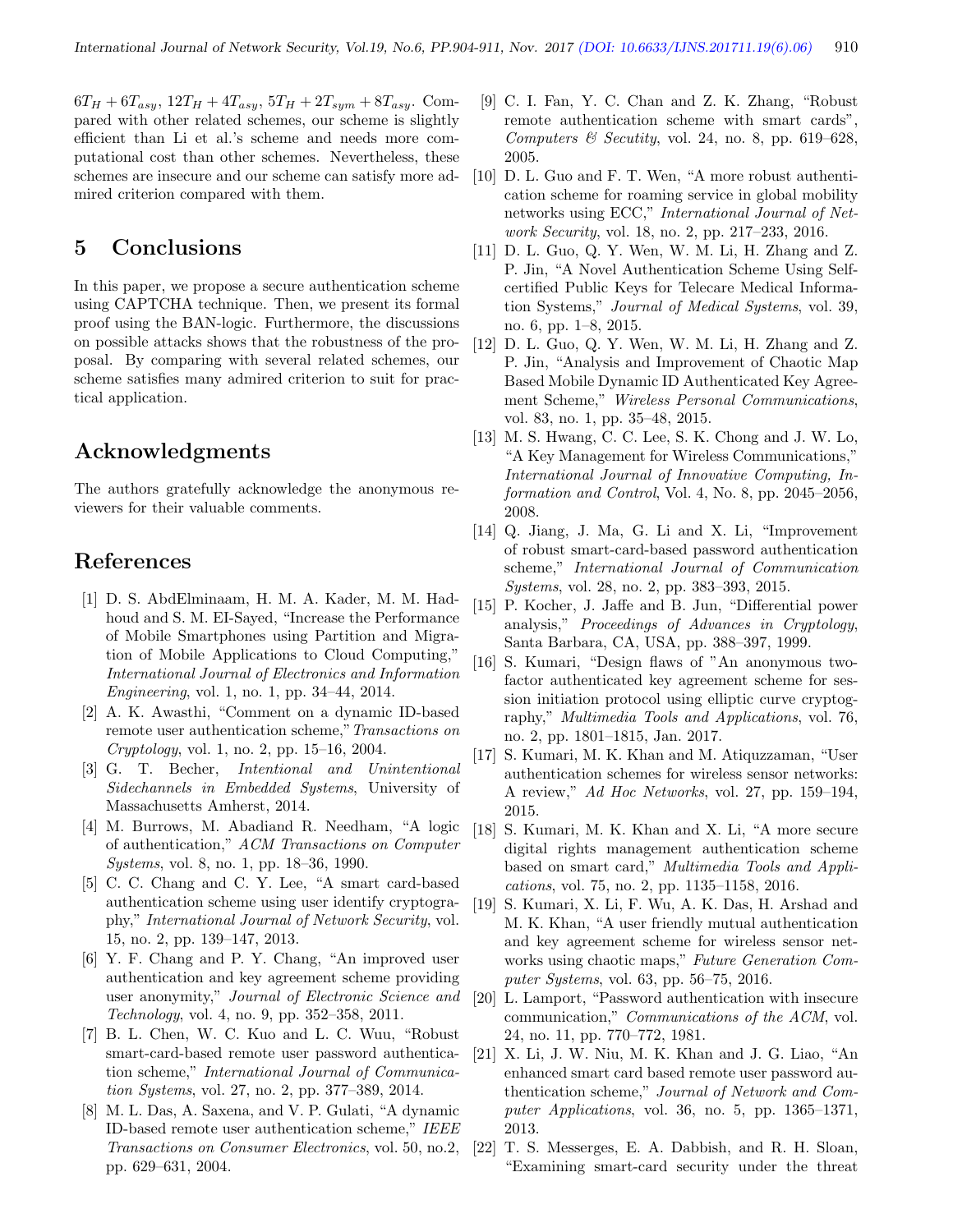$6T_H + 6T_{asy}, 12T_H + 4T_{asy}, 5T_H + 2T_{sym} + 8T_{asy}.$  Compared with other related schemes, our scheme is slightly efficient than Li et al.'s scheme and needs more computational cost than other schemes. Nevertheless, these schemes are insecure and our scheme can satisfy more admired criterion compared with them.

# 5 Conclusions

In this paper, we propose a secure authentication scheme using CAPTCHA technique. Then, we present its formal proof using the BAN-logic. Furthermore, the discussions on possible attacks shows that the robustness of the proposal. By comparing with several related schemes, our scheme satisfies many admired criterion to suit for practical application.

# Acknowledgments

The authors gratefully acknowledge the anonymous reviewers for their valuable comments.

# References

- [1] D. S. AbdElminaam, H. M. A. Kader, M. M. Hadhoud and S. M. EI-Sayed, "Increase the Performance of Mobile Smartphones using Partition and Migration of Mobile Applications to Cloud Computing," International Journal of Electronics and Information Engineering, vol. 1, no. 1, pp. 34–44, 2014.
- [2] A. K. Awasthi, "Comment on a dynamic ID-based remote user authentication scheme,"Transactions on Cryptology, vol. 1, no. 2, pp. 15–16, 2004.
- [3] G. T. Becher, Intentional and Unintentional Sidechannels in Embedded Systems, University of Massachusetts Amherst, 2014.
- [4] M. Burrows, M. Abadiand R. Needham, "A logic of authentication," ACM Transactions on Computer Systems, vol. 8, no. 1, pp. 18–36, 1990.
- [5] C. C. Chang and C. Y. Lee, "A smart card-based authentication scheme using user identify cryptography," International Journal of Network Security, vol. 15, no. 2, pp. 139–147, 2013.
- [6] Y. F. Chang and P. Y. Chang, "An improved user authentication and key agreement scheme providing user anonymity," Journal of Electronic Science and Technology, vol. 4, no. 9, pp. 352–358, 2011.
- [7] B. L. Chen, W. C. Kuo and L. C. Wuu, "Robust smart-card-based remote user password authentication scheme," International Journal of Communication Systems, vol. 27, no. 2, pp. 377–389, 2014.
- [8] M. L. Das, A. Saxena, and V. P. Gulati, "A dynamic ID-based remote user authentication scheme," IEEE Transactions on Consumer Electronics, vol. 50, no.2, pp. 629–631, 2004.
- [9] C. I. Fan, Y. C. Chan and Z. K. Zhang, "Robust remote authentication scheme with smart cards", Computers  $\mathcal C$  Secutity, vol. 24, no. 8, pp. 619–628, 2005.
- [10] D. L. Guo and F. T. Wen, "A more robust authentication scheme for roaming service in global mobility networks using ECC," International Journal of Network Security, vol. 18, no. 2, pp. 217–233, 2016.
- [11] D. L. Guo, Q. Y. Wen, W. M. Li, H. Zhang and Z. P. Jin, "A Novel Authentication Scheme Using Selfcertified Public Keys for Telecare Medical Information Systems," Journal of Medical Systems, vol. 39, no. 6, pp. 1–8, 2015.
- [12] D. L. Guo, Q. Y. Wen, W. M. Li, H. Zhang and Z. P. Jin, "Analysis and Improvement of Chaotic Map Based Mobile Dynamic ID Authenticated Key Agreement Scheme," Wireless Personal Communications, vol. 83, no. 1, pp. 35–48, 2015.
- [13] M. S. Hwang, C. C. Lee, S. K. Chong and J. W. Lo, "A Key Management for Wireless Communications," International Journal of Innovative Computing, Information and Control, Vol. 4, No. 8, pp. 2045–2056, 2008.
- [14] Q. Jiang, J. Ma, G. Li and X. Li, "Improvement of robust smart-card-based password authentication scheme," International Journal of Communication Systems, vol. 28, no. 2, pp. 383–393, 2015.
- [15] P. Kocher, J. Jaffe and B. Jun, "Differential power analysis," Proceedings of Advances in Cryptology, Santa Barbara, CA, USA, pp. 388–397, 1999.
- [16] S. Kumari, "Design flaws of "An anonymous twofactor authenticated key agreement scheme for session initiation protocol using elliptic curve cryptography," Multimedia Tools and Applications, vol. 76, no. 2, pp. 1801–1815, Jan. 2017.
- [17] S. Kumari, M. K. Khan and M. Atiquzzaman, "User authentication schemes for wireless sensor networks: A review," Ad Hoc Networks, vol. 27, pp. 159–194, 2015.
- [18] S. Kumari, M. K. Khan and X. Li, "A more secure digital rights management authentication scheme based on smart card," Multimedia Tools and Applications, vol. 75, no. 2, pp. 1135–1158, 2016.
- [19] S. Kumari, X. Li, F. Wu, A. K. Das, H. Arshad and M. K. Khan, "A user friendly mutual authentication and key agreement scheme for wireless sensor networks using chaotic maps," Future Generation Computer Systems, vol. 63, pp. 56–75, 2016.
- [20] L. Lamport, "Password authentication with insecure communication," Communications of the ACM, vol. 24, no. 11, pp. 770–772, 1981.
- [21] X. Li, J. W. Niu, M. K. Khan and J. G. Liao, "An enhanced smart card based remote user password authentication scheme," Journal of Network and Computer Applications, vol. 36, no. 5, pp. 1365–1371, 2013.
- [22] T. S. Messerges, E. A. Dabbish, and R. H. Sloan, "Examining smart-card security under the threat